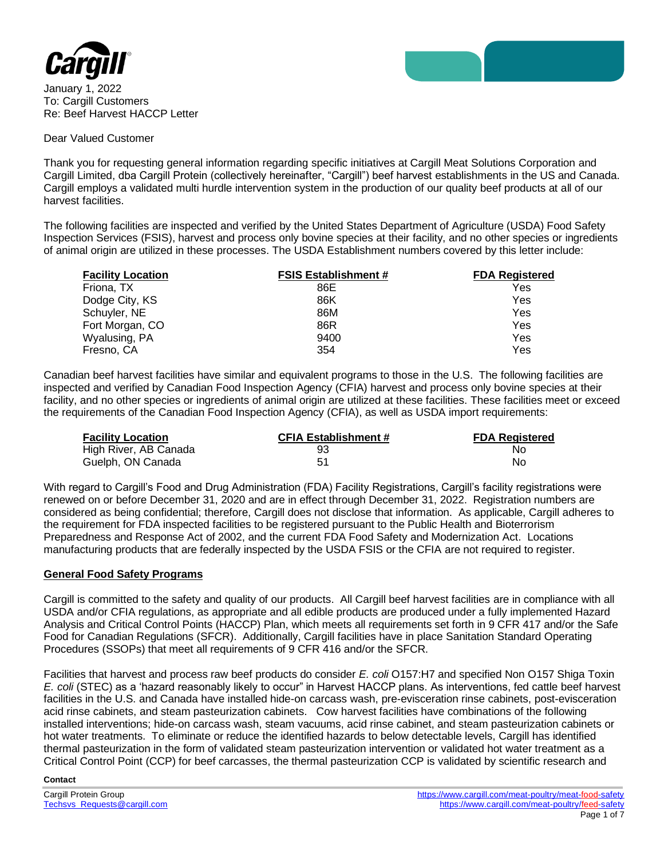

January 1, 2022 To: Cargill Customers Re: Beef Harvest HACCP Letter

#### Dear Valued Customer

Thank you for requesting general information regarding specific initiatives at Cargill Meat Solutions Corporation and Cargill Limited, dba Cargill Protein (collectively hereinafter, "Cargill") beef harvest establishments in the US and Canada. Cargill employs a validated multi hurdle intervention system in the production of our quality beef products at all of our harvest facilities.

The following facilities are inspected and verified by the United States Department of Agriculture (USDA) Food Safety Inspection Services (FSIS), harvest and process only bovine species at their facility, and no other species or ingredients of animal origin are utilized in these processes. The USDA Establishment numbers covered by this letter include:

| <b>Facility Location</b> | <b>FSIS Establishment #</b> | <b>FDA Registered</b> |
|--------------------------|-----------------------------|-----------------------|
| Friona, TX               | 86E                         | Yes                   |
| Dodge City, KS           | 86K                         | Yes                   |
| Schuyler, NE             | 86M                         | Yes                   |
| Fort Morgan, CO          | 86R                         | Yes                   |
| Wyalusing, PA            | 9400                        | Yes                   |
| Fresno, CA               | 354                         | Yes                   |

Canadian beef harvest facilities have similar and equivalent programs to those in the U.S. The following facilities are inspected and verified by Canadian Food Inspection Agency (CFIA) harvest and process only bovine species at their facility, and no other species or ingredients of animal origin are utilized at these facilities. These facilities meet or exceed the requirements of the Canadian Food Inspection Agency (CFIA), as well as USDA import requirements:

| <b>Facility Location</b> | <b>CFIA Establishment #</b> | <b>FDA Registered</b> |
|--------------------------|-----------------------------|-----------------------|
| High River, AB Canada    | 93                          | Nο                    |
| Guelph, ON Canada        |                             | No                    |

With regard to Cargill's Food and Drug Administration (FDA) Facility Registrations, Cargill's facility registrations were renewed on or before December 31, 2020 and are in effect through December 31, 2022. Registration numbers are considered as being confidential; therefore, Cargill does not disclose that information. As applicable, Cargill adheres to the requirement for FDA inspected facilities to be registered pursuant to the Public Health and Bioterrorism Preparedness and Response Act of 2002, and the current FDA Food Safety and Modernization Act. Locations manufacturing products that are federally inspected by the USDA FSIS or the CFIA are not required to register.

## **General Food Safety Programs**

Cargill is committed to the safety and quality of our products. All Cargill beef harvest facilities are in compliance with all USDA and/or CFIA regulations, as appropriate and all edible products are produced under a fully implemented Hazard Analysis and Critical Control Points (HACCP) Plan, which meets all requirements set forth in 9 CFR 417 and/or the Safe Food for Canadian Regulations (SFCR). Additionally, Cargill facilities have in place Sanitation Standard Operating Procedures (SSOPs) that meet all requirements of 9 CFR 416 and/or the SFCR.

Facilities that harvest and process raw beef products do consider *E. coli* O157:H7 and specified Non O157 Shiga Toxin *E. coli* (STEC) as a 'hazard reasonably likely to occur" in Harvest HACCP plans. As interventions, fed cattle beef harvest facilities in the U.S. and Canada have installed hide-on carcass wash, pre-evisceration rinse cabinets, post-evisceration acid rinse cabinets, and steam pasteurization cabinets. Cow harvest facilities have combinations of the following installed interventions; hide-on carcass wash, steam vacuums, acid rinse cabinet, and steam pasteurization cabinets or hot water treatments. To eliminate or reduce the identified hazards to below detectable levels, Cargill has identified thermal pasteurization in the form of validated steam pasteurization intervention or validated hot water treatment as a Critical Control Point (CCP) for beef carcasses, the thermal pasteurization CCP is validated by scientific research and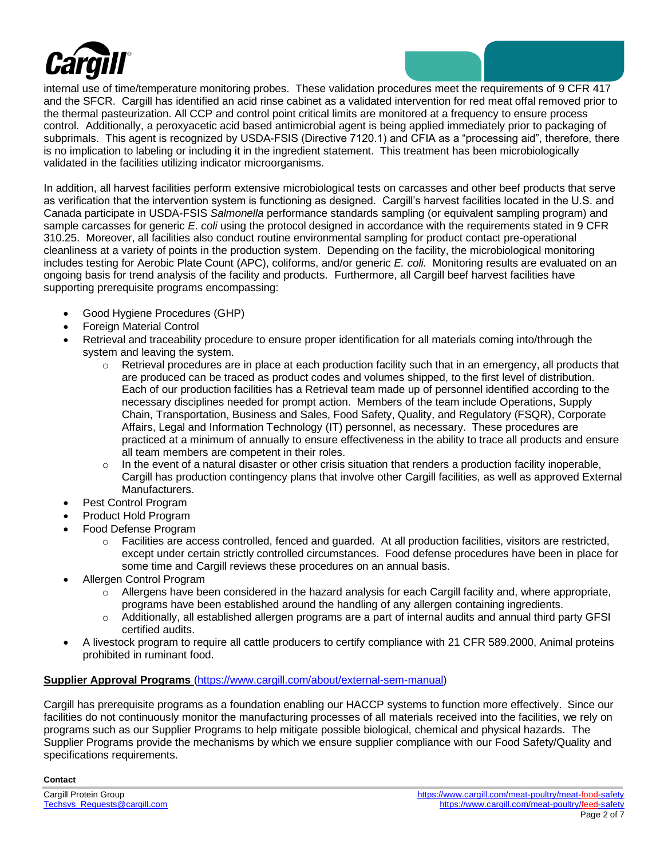

internal use of time/temperature monitoring probes. These validation procedures meet the requirements of 9 CFR 417 and the SFCR. Cargill has identified an acid rinse cabinet as a validated intervention for red meat offal removed prior to the thermal pasteurization. All CCP and control point critical limits are monitored at a frequency to ensure process control. Additionally, a peroxyacetic acid based antimicrobial agent is being applied immediately prior to packaging of subprimals. This agent is recognized by USDA-FSIS (Directive 7120.1) and CFIA as a "processing aid", therefore, there is no implication to labeling or including it in the ingredient statement. This treatment has been microbiologically validated in the facilities utilizing indicator microorganisms.

In addition, all harvest facilities perform extensive microbiological tests on carcasses and other beef products that serve as verification that the intervention system is functioning as designed. Cargill's harvest facilities located in the U.S. and Canada participate in USDA-FSIS *Salmonella* performance standards sampling (or equivalent sampling program) and sample carcasses for generic *E. coli* using the protocol designed in accordance with the requirements stated in 9 CFR 310.25. Moreover, all facilities also conduct routine environmental sampling for product contact pre-operational cleanliness at a variety of points in the production system. Depending on the facility, the microbiological monitoring includes testing for Aerobic Plate Count (APC), coliforms, and/or generic *E. coli.* Monitoring results are evaluated on an ongoing basis for trend analysis of the facility and products. Furthermore, all Cargill beef harvest facilities have supporting prerequisite programs encompassing:

- Good Hygiene Procedures (GHP)
- Foreign Material Control
- Retrieval and traceability procedure to ensure proper identification for all materials coming into/through the system and leaving the system.
	- $\circ$  Retrieval procedures are in place at each production facility such that in an emergency, all products that are produced can be traced as product codes and volumes shipped, to the first level of distribution. Each of our production facilities has a Retrieval team made up of personnel identified according to the necessary disciplines needed for prompt action. Members of the team include Operations, Supply Chain, Transportation, Business and Sales, Food Safety, Quality, and Regulatory (FSQR), Corporate Affairs, Legal and Information Technology (IT) personnel, as necessary. These procedures are practiced at a minimum of annually to ensure effectiveness in the ability to trace all products and ensure all team members are competent in their roles.
	- $\circ$  In the event of a natural disaster or other crisis situation that renders a production facility inoperable, Cargill has production contingency plans that involve other Cargill facilities, as well as approved External Manufacturers.
- Pest Control Program
- Product Hold Program
- Food Defense Program
	- o Facilities are access controlled, fenced and guarded. At all production facilities, visitors are restricted, except under certain strictly controlled circumstances. Food defense procedures have been in place for some time and Cargill reviews these procedures on an annual basis.
- Allergen Control Program
	- $\circ$  Allergens have been considered in the hazard analysis for each Cargill facility and, where appropriate, programs have been established around the handling of any allergen containing ingredients.
	- o Additionally, all established allergen programs are a part of internal audits and annual third party GFSI certified audits.
- A livestock program to require all cattle producers to certify compliance with 21 CFR 589.2000, Animal proteins prohibited in ruminant food.

## **Supplier Approval Programs** [\(https://www.cargill.com/about/external-sem-manual\)](https://www.cargill.com/about/external-sem-manual)

Cargill has prerequisite programs as a foundation enabling our HACCP systems to function more effectively. Since our facilities do not continuously monitor the manufacturing processes of all materials received into the facilities, we rely on programs such as our Supplier Programs to help mitigate possible biological, chemical and physical hazards. The Supplier Programs provide the mechanisms by which we ensure supplier compliance with our Food Safety/Quality and specifications requirements.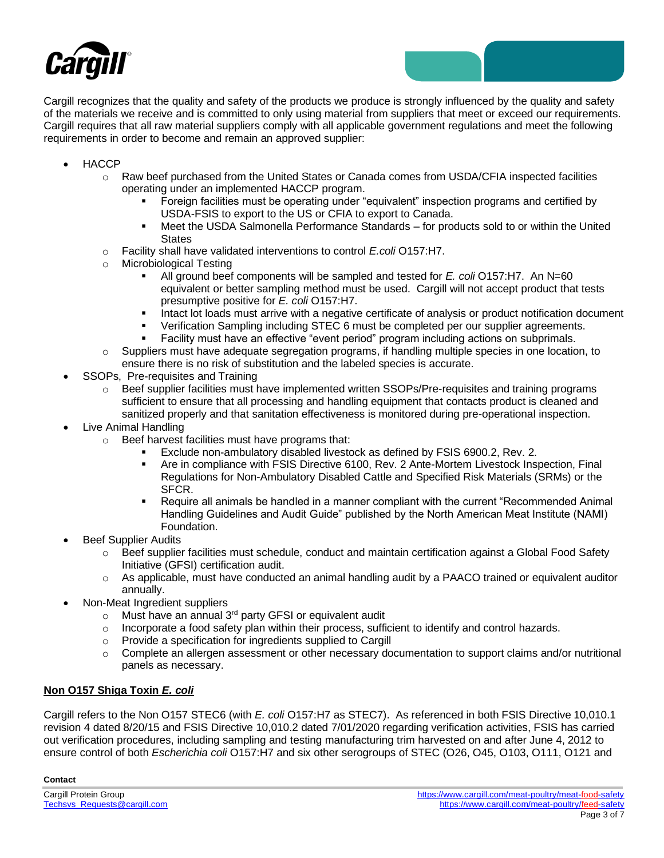



- HACCP
	- $\circ$  Raw beef purchased from the United States or Canada comes from USDA/CFIA inspected facilities operating under an implemented HACCP program.
		- Foreign facilities must be operating under "equivalent" inspection programs and certified by USDA-FSIS to export to the US or CFIA to export to Canada.
		- Meet the USDA Salmonella Performance Standards for products sold to or within the United **States**
	- o Facility shall have validated interventions to control *E.coli* O157:H7.
	- o Microbiological Testing
		- All ground beef components will be sampled and tested for *E. coli* O157:H7. An N=60 equivalent or better sampling method must be used. Cargill will not accept product that tests presumptive positive for *E. coli* O157:H7.
		- **■** Intact lot loads must arrive with a negative certificate of analysis or product notification document
		- Verification Sampling including STEC 6 must be completed per our supplier agreements.
		- **EXECT Facility must have an effective "event period" program including actions on subprimals.**
	- $\circ$  Suppliers must have adequate segregation programs, if handling multiple species in one location, to ensure there is no risk of substitution and the labeled species is accurate.
- SSOPs, Pre-requisites and Training
	- $\circ$  Beef supplier facilities must have implemented written SSOPs/Pre-requisites and training programs sufficient to ensure that all processing and handling equipment that contacts product is cleaned and sanitized properly and that sanitation effectiveness is monitored during pre-operational inspection.
- Live Animal Handling
	- o Beef harvest facilities must have programs that:
		- Exclude non-ambulatory disabled livestock as defined by FSIS 6900.2, Rev. 2.
		- **EXECT:** Are in compliance with FSIS Directive 6100, Rev. 2 Ante-Mortem Livestock Inspection, Final Regulations for Non-Ambulatory Disabled Cattle and Specified Risk Materials (SRMs) or the SFCR.
		- Require all animals be handled in a manner compliant with the current "Recommended Animal" Handling Guidelines and Audit Guide" published by the North American Meat Institute (NAMI) Foundation.
- **Beef Supplier Audits** 
	- o Beef supplier facilities must schedule, conduct and maintain certification against a Global Food Safety Initiative (GFSI) certification audit.
	- $\circ$  As applicable, must have conducted an animal handling audit by a PAACO trained or equivalent auditor annually.
- Non-Meat Ingredient suppliers
	- $\circ$  Must have an annual 3<sup>rd</sup> party GFSI or equivalent audit
	- $\circ$  Incorporate a food safety plan within their process, sufficient to identify and control hazards.
	- o Provide a specification for ingredients supplied to Cargill
	- $\circ$  Complete an allergen assessment or other necessary documentation to support claims and/or nutritional panels as necessary.

## **Non O157 Shiga Toxin** *E. coli*

Cargill refers to the Non O157 STEC6 (with *E. coli* O157:H7 as STEC7). As referenced in both FSIS Directive 10,010.1 revision 4 dated 8/20/15 and FSIS Directive 10,010.2 dated 7/01/2020 regarding verification activities, FSIS has carried out verification procedures, including sampling and testing manufacturing trim harvested on and after June 4, 2012 to ensure control of both *Escherichia coli* O157:H7 and six other serogroups of STEC (O26, O45, O103, O111, O121 and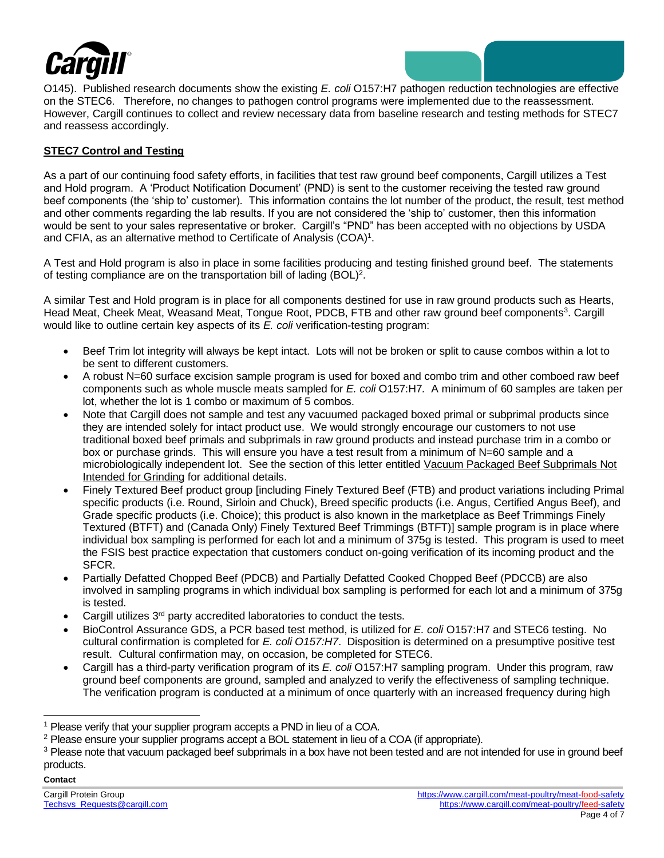

O145). Published research documents show the existing *E. coli* O157:H7 pathogen reduction technologies are effective on the STEC6. Therefore, no changes to pathogen control programs were implemented due to the reassessment. However, Cargill continues to collect and review necessary data from baseline research and testing methods for STEC7 and reassess accordingly.

## **STEC7 Control and Testing**

As a part of our continuing food safety efforts, in facilities that test raw ground beef components, Cargill utilizes a Test and Hold program. A 'Product Notification Document' (PND) is sent to the customer receiving the tested raw ground beef components (the 'ship to' customer). This information contains the lot number of the product, the result, test method and other comments regarding the lab results. If you are not considered the 'ship to' customer, then this information would be sent to your sales representative or broker. Cargill's "PND" has been accepted with no objections by USDA and CFIA, as an alternative method to Certificate of Analysis  $(COA)^1$ .

A Test and Hold program is also in place in some facilities producing and testing finished ground beef. The statements of testing compliance are on the transportation bill of lading  $(BOL)^2$ .

A similar Test and Hold program is in place for all components destined for use in raw ground products such as Hearts, Head Meat, Cheek Meat, Weasand Meat, Tongue Root, PDCB, FTB and other raw ground beef components<sup>3</sup>. Cargill would like to outline certain key aspects of its *E. coli* verification-testing program:

- Beef Trim lot integrity will always be kept intact. Lots will not be broken or split to cause combos within a lot to be sent to different customers.
- A robust N=60 surface excision sample program is used for boxed and combo trim and other comboed raw beef components such as whole muscle meats sampled for *E. coli* O157:H7*.* A minimum of 60 samples are taken per lot, whether the lot is 1 combo or maximum of 5 combos.
- Note that Cargill does not sample and test any vacuumed packaged boxed primal or subprimal products since they are intended solely for intact product use. We would strongly encourage our customers to not use traditional boxed beef primals and subprimals in raw ground products and instead purchase trim in a combo or box or purchase grinds. This will ensure you have a test result from a minimum of N=60 sample and a microbiologically independent lot. See the section of this letter entitled Vacuum Packaged Beef Subprimals Not Intended for Grinding for additional details.
- Finely Textured Beef product group [including Finely Textured Beef (FTB) and product variations including Primal specific products (i.e. Round, Sirloin and Chuck), Breed specific products (i.e. Angus, Certified Angus Beef), and Grade specific products (i.e. Choice); this product is also known in the marketplace as Beef Trimmings Finely Textured (BTFT) and (Canada Only) Finely Textured Beef Trimmings (BTFT)] sample program is in place where individual box sampling is performed for each lot and a minimum of 375g is tested. This program is used to meet the FSIS best practice expectation that customers conduct on-going verification of its incoming product and the SFCR.
- Partially Defatted Chopped Beef (PDCB) and Partially Defatted Cooked Chopped Beef (PDCCB) are also involved in sampling programs in which individual box sampling is performed for each lot and a minimum of 375g is tested.
- Cargill utilizes 3<sup>rd</sup> party accredited laboratories to conduct the tests.
- BioControl Assurance GDS, a PCR based test method, is utilized for *E. coli* O157:H7 and STEC6 testing. No cultural confirmation is completed for *E. coli O157:H7*. Disposition is determined on a presumptive positive test result. Cultural confirmation may, on occasion, be completed for STEC6.
- Cargill has a third-party verification program of its *E. coli* O157:H7 sampling program. Under this program, raw ground beef components are ground, sampled and analyzed to verify the effectiveness of sampling technique. The verification program is conducted at a minimum of once quarterly with an increased frequency during high

<sup>&</sup>lt;sup>1</sup> Please verify that your supplier program accepts a PND in lieu of a COA.

<sup>2</sup> Please ensure your supplier programs accept a BOL statement in lieu of a COA (if appropriate).

<sup>&</sup>lt;sup>3</sup> Please note that vacuum packaged beef subprimals in a box have not been tested and are not intended for use in ground beef products.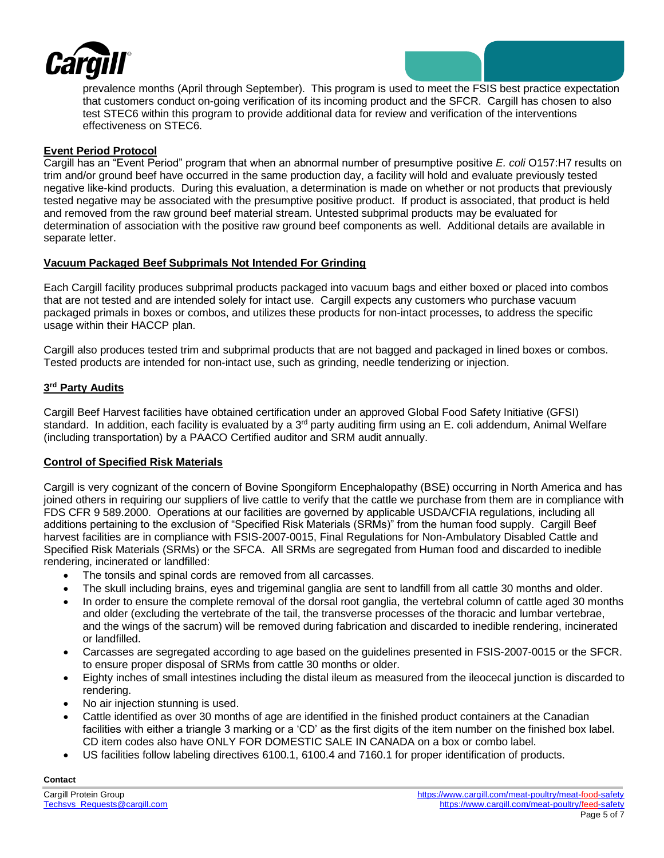

prevalence months (April through September). This program is used to meet the FSIS best practice expectation that customers conduct on-going verification of its incoming product and the SFCR. Cargill has chosen to also test STEC6 within this program to provide additional data for review and verification of the interventions effectiveness on STEC6.

### **Event Period Protocol**

Cargill has an "Event Period" program that when an abnormal number of presumptive positive *E. coli* O157:H7 results on trim and/or ground beef have occurred in the same production day, a facility will hold and evaluate previously tested negative like-kind products. During this evaluation, a determination is made on whether or not products that previously tested negative may be associated with the presumptive positive product. If product is associated, that product is held and removed from the raw ground beef material stream. Untested subprimal products may be evaluated for determination of association with the positive raw ground beef components as well. Additional details are available in separate letter.

### **Vacuum Packaged Beef Subprimals Not Intended For Grinding**

Each Cargill facility produces subprimal products packaged into vacuum bags and either boxed or placed into combos that are not tested and are intended solely for intact use. Cargill expects any customers who purchase vacuum packaged primals in boxes or combos, and utilizes these products for non-intact processes, to address the specific usage within their HACCP plan.

Cargill also produces tested trim and subprimal products that are not bagged and packaged in lined boxes or combos. Tested products are intended for non-intact use, such as grinding, needle tenderizing or injection.

## **3 rd Party Audits**

Cargill Beef Harvest facilities have obtained certification under an approved Global Food Safety Initiative (GFSI) standard. In addition, each facility is evaluated by a  $3<sup>rd</sup>$  party auditing firm using an E. coli addendum, Animal Welfare (including transportation) by a PAACO Certified auditor and SRM audit annually.

## **Control of Specified Risk Materials**

Cargill is very cognizant of the concern of Bovine Spongiform Encephalopathy (BSE) occurring in North America and has joined others in requiring our suppliers of live cattle to verify that the cattle we purchase from them are in compliance with FDS CFR 9 589.2000. Operations at our facilities are governed by applicable USDA/CFIA regulations, including all additions pertaining to the exclusion of "Specified Risk Materials (SRMs)" from the human food supply. Cargill Beef harvest facilities are in compliance with FSIS-2007-0015, Final Regulations for Non-Ambulatory Disabled Cattle and Specified Risk Materials (SRMs) or the SFCA. All SRMs are segregated from Human food and discarded to inedible rendering, incinerated or landfilled:

- The tonsils and spinal cords are removed from all carcasses.
- The skull including brains, eyes and trigeminal ganglia are sent to landfill from all cattle 30 months and older.
- In order to ensure the complete removal of the dorsal root ganglia, the vertebral column of cattle aged 30 months and older (excluding the vertebrate of the tail, the transverse processes of the thoracic and lumbar vertebrae, and the wings of the sacrum) will be removed during fabrication and discarded to inedible rendering, incinerated or landfilled.
- Carcasses are segregated according to age based on the guidelines presented in FSIS-2007-0015 or the SFCR. to ensure proper disposal of SRMs from cattle 30 months or older.
- Eighty inches of small intestines including the distal ileum as measured from the ileocecal junction is discarded to rendering.
- No air injection stunning is used.
- Cattle identified as over 30 months of age are identified in the finished product containers at the Canadian facilities with either a triangle 3 marking or a 'CD' as the first digits of the item number on the finished box label. CD item codes also have ONLY FOR DOMESTIC SALE IN CANADA on a box or combo label.
- US facilities follow labeling directives 6100.1, 6100.4 and 7160.1 for proper identification of products.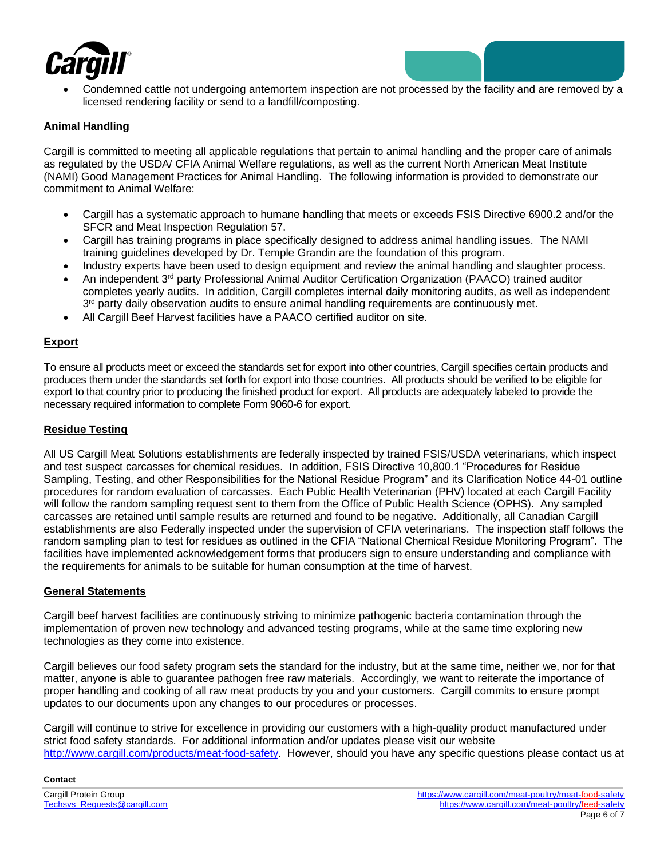

• Condemned cattle not undergoing antemortem inspection are not processed by the facility and are removed by a licensed rendering facility or send to a landfill/composting.

## **Animal Handling**

Cargill is committed to meeting all applicable regulations that pertain to animal handling and the proper care of animals as regulated by the USDA/ CFIA Animal Welfare regulations, as well as the current North American Meat Institute (NAMI) Good Management Practices for Animal Handling. The following information is provided to demonstrate our commitment to Animal Welfare:

- Cargill has a systematic approach to humane handling that meets or exceeds FSIS Directive 6900.2 and/or the SFCR and Meat Inspection Regulation 57.
- Cargill has training programs in place specifically designed to address animal handling issues. The NAMI training guidelines developed by Dr. Temple Grandin are the foundation of this program.
- Industry experts have been used to design equipment and review the animal handling and slaughter process.
- An independent 3<sup>rd</sup> party Professional Animal Auditor Certification Organization (PAACO) trained auditor completes yearly audits. In addition, Cargill completes internal daily monitoring audits, as well as independent 3<sup>rd</sup> party daily observation audits to ensure animal handling requirements are continuously met.
- All Cargill Beef Harvest facilities have a PAACO certified auditor on site.

# **Export**

To ensure all products meet or exceed the standards set for export into other countries, Cargill specifies certain products and produces them under the standards set forth for export into those countries. All products should be verified to be eligible for export to that country prior to producing the finished product for export. All products are adequately labeled to provide the necessary required information to complete Form 9060-6 for export.

#### **Residue Testing**

All US Cargill Meat Solutions establishments are federally inspected by trained FSIS/USDA veterinarians, which inspect and test suspect carcasses for chemical residues. In addition, FSIS Directive 10,800.1 "Procedures for Residue Sampling, Testing, and other Responsibilities for the National Residue Program" and its Clarification Notice 44-01 outline procedures for random evaluation of carcasses. Each Public Health Veterinarian (PHV) located at each Cargill Facility will follow the random sampling request sent to them from the Office of Public Health Science (OPHS). Any sampled carcasses are retained until sample results are returned and found to be negative. Additionally, all Canadian Cargill establishments are also Federally inspected under the supervision of CFIA veterinarians. The inspection staff follows the random sampling plan to test for residues as outlined in the CFIA "National Chemical Residue Monitoring Program". The facilities have implemented acknowledgement forms that producers sign to ensure understanding and compliance with the requirements for animals to be suitable for human consumption at the time of harvest.

#### **General Statements**

Cargill beef harvest facilities are continuously striving to minimize pathogenic bacteria contamination through the implementation of proven new technology and advanced testing programs, while at the same time exploring new technologies as they come into existence.

Cargill believes our food safety program sets the standard for the industry, but at the same time, neither we, nor for that matter, anyone is able to guarantee pathogen free raw materials. Accordingly, we want to reiterate the importance of proper handling and cooking of all raw meat products by you and your customers. Cargill commits to ensure prompt updates to our documents upon any changes to our procedures or processes.

Cargill will continue to strive for excellence in providing our customers with a high-quality product manufactured under strict food safety standards. For additional information and/or updates please visit our website [http://www.cargill.com/products/meat-food-safety.](http://www.cargill.com/products/meat-food-safety) However, should you have any specific questions please contact us at